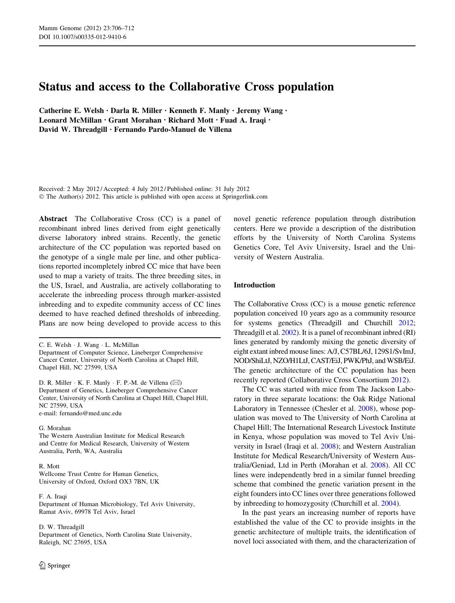# Status and access to the Collaborative Cross population

Catherine E. Welsh • Darla R. Miller • Kenneth F. Manly • Jeremy Wang • Leonard McMillan • Grant Morahan • Richard Mott • Fuad A. Iraqi • David W. Threadgill • Fernando Pardo-Manuel de Villena

Received: 2 May 2012 / Accepted: 4 July 2012 / Published online: 31 July 2012 © The Author(s) 2012. This article is published with open access at Springerlink.com

Abstract The Collaborative Cross (CC) is a panel of recombinant inbred lines derived from eight genetically diverse laboratory inbred strains. Recently, the genetic architecture of the CC population was reported based on the genotype of a single male per line, and other publications reported incompletely inbred CC mice that have been used to map a variety of traits. The three breeding sites, in the US, Israel, and Australia, are actively collaborating to accelerate the inbreeding process through marker-assisted inbreeding and to expedite community access of CC lines deemed to have reached defined thresholds of inbreeding. Plans are now being developed to provide access to this

C. E. Welsh - J. Wang - L. McMillan Department of Computer Science, Lineberger Comprehensive Cancer Center, University of North Carolina at Chapel Hill, Chapel Hill, NC 27599, USA

D. R. Miller  $\cdot$  K. F. Manly  $\cdot$  F. P.-M. de Villena ( $\boxtimes$ ) Department of Genetics, Lineberger Comprehensive Cancer Center, University of North Carolina at Chapel Hill, Chapel Hill, NC 27599, USA e-mail: fernando@med.unc.edu

#### G. Morahan

The Western Australian Institute for Medical Research and Centre for Medical Research, University of Western Australia, Perth, WA, Australia

R. Mott Wellcome Trust Centre for Human Genetics, University of Oxford, Oxford OX3 7BN, UK

F. A. Iraqi Department of Human Microbiology, Tel Aviv University, Ramat Aviv, 69978 Tel Aviv, Israel

D. W. Threadgill Department of Genetics, North Carolina State University, Raleigh, NC 27695, USA

novel genetic reference population through distribution centers. Here we provide a description of the distribution efforts by the University of North Carolina Systems Genetics Core, Tel Aviv University, Israel and the University of Western Australia.

# Introduction

The Collaborative Cross (CC) is a mouse genetic reference population conceived 10 years ago as a community resource for systems genetics (Threadgill and Churchill [2012](#page-6-0); Threadgill et al. [2002](#page-6-0)). It is a panel of recombinant inbred (RI) lines generated by randomly mixing the genetic diversity of eight extant inbred mouse lines: A/J, C57BL/6J, 129S1/SvImJ, NOD/ShiLtJ, NZO/H1LtJ, CAST/EiJ, PWK/PhJ, and WSB/EiJ. The genetic architecture of the CC population has been recently reported (Collaborative Cross Consortium [2012](#page-6-0)).

The CC was started with mice from The Jackson Laboratory in three separate locations: the Oak Ridge National Laboratory in Tennessee (Chesler et al. [2008\)](#page-6-0), whose population was moved to The University of North Carolina at Chapel Hill; The International Research Livestock Institute in Kenya, whose population was moved to Tel Aviv University in Israel (Iraqi et al. [2008\)](#page-6-0); and Western Australian Institute for Medical Research/University of Western Australia/Geniad, Ltd in Perth (Morahan et al. [2008](#page-6-0)). All CC lines were independently bred in a similar funnel breeding scheme that combined the genetic variation present in the eight founders into CC lines over three generations followed by inbreeding to homozygosity (Churchill et al. [2004](#page-6-0)).

In the past years an increasing number of reports have established the value of the CC to provide insights in the genetic architecture of multiple traits, the identification of novel loci associated with them, and the characterization of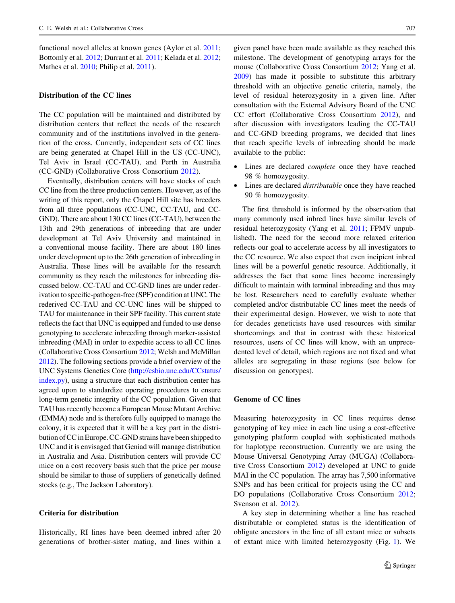functional novel alleles at known genes (Aylor et al. [2011](#page-6-0); Bottomly et al. [2012;](#page-6-0) Durrant et al. [2011](#page-6-0); Kelada et al. [2012](#page-6-0); Mathes et al. [2010;](#page-6-0) Philip et al. [2011\)](#page-6-0).

## Distribution of the CC lines

The CC population will be maintained and distributed by distribution centers that reflect the needs of the research community and of the institutions involved in the generation of the cross. Currently, independent sets of CC lines are being generated at Chapel Hill in the US (CC-UNC), Tel Aviv in Israel (CC-TAU), and Perth in Australia (CC-GND) (Collaborative Cross Consortium [2012\)](#page-6-0).

Eventually, distribution centers will have stocks of each CC line from the three production centers. However, as of the writing of this report, only the Chapel Hill site has breeders from all three populations (CC-UNC, CC-TAU, and CC-GND). There are about 130 CC lines (CC-TAU), between the 13th and 29th generations of inbreeding that are under development at Tel Aviv University and maintained in a conventional mouse facility. There are about 180 lines under development up to the 26th generation of inbreeding in Australia. These lines will be available for the research community as they reach the milestones for inbreeding discussed below. CC-TAU and CC-GND lines are under rederivation to specific-pathogen-free (SPF) condition at UNC. The rederived CC-TAU and CC-UNC lines will be shipped to TAU for maintenance in their SPF facility. This current state reflects the fact that UNC is equipped and funded to use dense genotyping to accelerate inbreeding through marker-assisted inbreeding (MAI) in order to expedite access to all CC lines (Collaborative Cross Consortium [2012;](#page-6-0) Welsh and McMillan [2012\)](#page-6-0). The following sections provide a brief overview of the UNC Systems Genetics Core [\(http://csbio.unc.edu/CCstatus/](http://csbio.unc.edu/CCstatus/index.py) [index.py\)](http://csbio.unc.edu/CCstatus/index.py), using a structure that each distribution center has agreed upon to standardize operating procedures to ensure long-term genetic integrity of the CC population. Given that TAU has recently become a European Mouse Mutant Archive (EMMA) node and is therefore fully equipped to manage the colony, it is expected that it will be a key part in the distribution of CC in Europe. CC-GND strains have been shipped to UNC and it is envisaged that Geniad will manage distribution in Australia and Asia. Distribution centers will provide CC mice on a cost recovery basis such that the price per mouse should be similar to those of suppliers of genetically defined stocks (e.g., The Jackson Laboratory).

## Criteria for distribution

Historically, RI lines have been deemed inbred after 20 generations of brother-sister mating, and lines within a given panel have been made available as they reached this milestone. The development of genotyping arrays for the mouse (Collaborative Cross Consortium [2012](#page-6-0); Yang et al. [2009](#page-6-0)) has made it possible to substitute this arbitrary threshold with an objective genetic criteria, namely, the level of residual heterozygosity in a given line. After consultation with the External Advisory Board of the UNC CC effort (Collaborative Cross Consortium [2012](#page-6-0)), and after discussion with investigators leading the CC-TAU and CC-GND breeding programs, we decided that lines that reach specific levels of inbreeding should be made available to the public:

- Lines are declared *complete* once they have reached 98 % homozygosity.
- Lines are declared *distributable* once they have reached 90 % homozygosity.

The first threshold is informed by the observation that many commonly used inbred lines have similar levels of residual heterozygosity (Yang et al. [2011](#page-6-0); FPMV unpublished). The need for the second more relaxed criterion reflects our goal to accelerate access by all investigators to the CC resource. We also expect that even incipient inbred lines will be a powerful genetic resource. Additionally, it addresses the fact that some lines become increasingly difficult to maintain with terminal inbreeding and thus may be lost. Researchers need to carefully evaluate whether completed and/or distributable CC lines meet the needs of their experimental design. However, we wish to note that for decades geneticists have used resources with similar shortcomings and that in contrast with these historical resources, users of CC lines will know, with an unprecedented level of detail, which regions are not fixed and what alleles are segregating in these regions (see below for discussion on genotypes).

#### Genome of CC lines

Measuring heterozygosity in CC lines requires dense genotyping of key mice in each line using a cost-effective genotyping platform coupled with sophisticated methods for haplotype reconstruction. Currently we are using the Mouse Universal Genotyping Array (MUGA) (Collaborative Cross Consortium [2012](#page-6-0)) developed at UNC to guide MAI in the CC population. The array has 7,500 informative SNPs and has been critical for projects using the CC and DO populations (Collaborative Cross Consortium [2012](#page-6-0); Svenson et al. [2012\)](#page-6-0).

A key step in determining whether a line has reached distributable or completed status is the identification of obligate ancestors in the line of all extant mice or subsets of extant mice with limited heterozygosity (Fig. [1\)](#page-2-0). We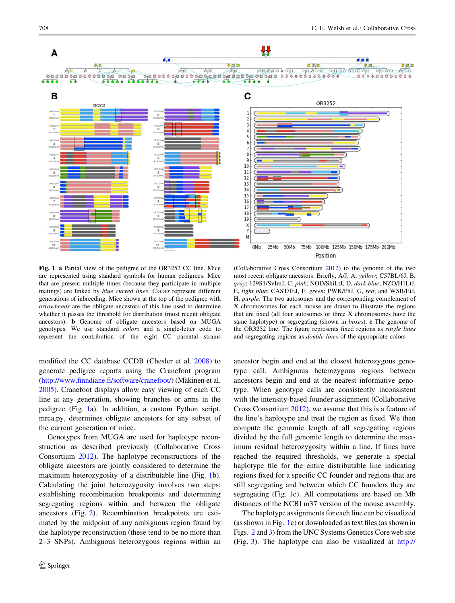<span id="page-2-0"></span>

Fig. 1 a Partial view of the pedigree of the OR3252 CC line. Mice are represented using standard symbols for human pedigrees. Mice that are present multiple times (because they participate in multiple matings) are linked by blue curved lines. Colors represent different generations of inbreeding. Mice shown at the top of the pedigree with arrowheads are the obligate ancestors of this line used to determine whether it passes the threshold for distribution (most recent obligate ancestors). b Genome of obligate ancestors based on MUGA genotypes. We use standard colors and a single-letter code to represent the contribution of the eight CC parental strains

(Collaborative Cross Consortium [2012](#page-6-0)) to the genome of the two most recent obligate ancestors. Briefly, A/J, A, yellow; C57BL/6J, B, gray; 129S1/SvImJ, C, pink; NOD/ShiLtJ, D, dark blue; NZO/H1LtJ, E, light blue; CAST/EiJ, F, green; PWK/PhJ, G, red; and WSB/EiJ, H, purple. The two autosomes and the corresponding complement of X chromosomes for each mouse are drawn to illustrate the regions that are fixed (all four autosomes or three X chromosomes have the same haplotype) or segregating (shown in *boxes*). c The genome of the OR3252 line. The figure represents fixed regions as single lines and segregating regions as double lines of the appropriate colors

modified the CC database CCDB (Chesler et al. [2008](#page-6-0)) to generate pedigree reports using the Cranefoot program [\(http://www.finndiane.fi/software/cranefoot/](http://www.finndiane.fi/software/cranefoot/)) (Mäkinen et al. [2005\)](#page-6-0). Cranefoot displays allow easy viewing of each CC line at any generation, showing branches or arms in the pedigree (Fig. 1a). In addition, a custom Python script, mrca.py, determines obligate ancestors for any subset of the current generation of mice.

Genotypes from MUGA are used for haplotype reconstruction as described previously (Collaborative Cross Consortium [2012\)](#page-6-0). The haplotype reconstructions of the obligate ancestors are jointly considered to determine the maximum heterozygosity of a distributable line (Fig. 1b). Calculating the joint heterozygosity involves two steps: establishing recombination breakpoints and determining segregating regions within and between the obligate ancestors (Fig. [2\)](#page-3-0). Recombination breakpoints are estimated by the midpoint of any ambiguous region found by the haplotype reconstruction (these tend to be no more than 2–3 SNPs). Ambiguous heterozygous regions within an ancestor begin and end at the closest heterozygous genotype call. Ambiguous heterozygous regions between ancestors begin and end at the nearest informative genotype. When genotype calls are consistently inconsistent with the intensity-based founder assignment (Collaborative Cross Consortium [2012\)](#page-6-0), we assume that this is a feature of the line's haplotype and treat the region as fixed. We then compute the genomic length of all segregating regions divided by the full genomic length to determine the maximum residual heterozygosity within a line. If lines have reached the required thresholds, we generate a special haplotype file for the entire distributable line indicating regions fixed for a specific CC founder and regions that are still segregating and between which CC founders they are segregating (Fig. 1c). All computations are based on Mb distances of the NCBI m37 version of the mouse assembly.

The haplotype assignments for each line can be visualized (as shown in Fig. 1c) or downloaded as text files (as shown in Figs. [2](#page-3-0) and [3\)](#page-4-0) from the UNC Systems Genetics Core web site (Fig. [3\)](#page-4-0). The haplotype can also be visualized at [http://](http://www.csbio.unc.edu/CCstatus/index.py?run=CCV)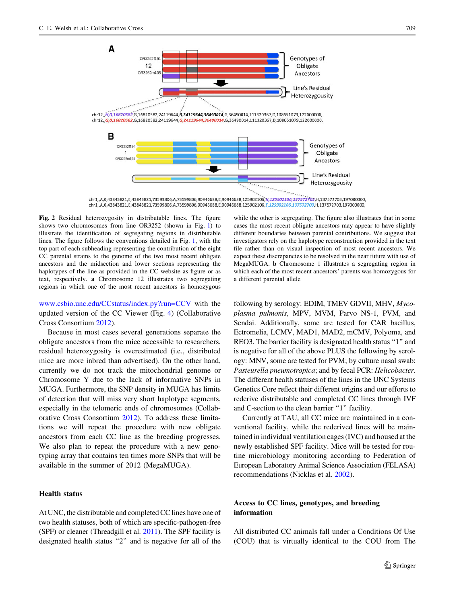<span id="page-3-0"></span>

chr1,,A,0,43843821,E,43843821,73599806,A,73599806,90946688,E,90946688,125902106,H,125902106,137572703,H,137572703,197000000, chr1,,A,0,43843821,E,43843821,73599806,A,73599806,90946688,E,90946688,125902106,E,125902106,137572703,H,137572703,197000000,

Fig. 2 Residual heterozygosity in distributable lines. The figure shows two chromosomes from line OR3252 (shown in Fig. [1](#page-2-0)) to illustrate the identification of segregating regions in distributable lines. The figure follows the conventions detailed in Fig. [1,](#page-2-0) with the top part of each subheading representing the contribution of the eight CC parental strains to the genome of the two most recent obligate ancestors and the midsection and lower sections representing the haplotypes of the line as provided in the CC website as figure or as text, respectively. a Chromosome 12 illustrates two segregating regions in which one of the most recent ancestors is homozygous

[www.csbio.unc.edu/CCstatus/index.py?run=CCV](http://www.csbio.unc.edu/CCstatus/index.py?run=CCV) with the updated version of the CC Viewer (Fig. [4](#page-5-0)) (Collaborative Cross Consortium [2012\)](#page-6-0).

Because in most cases several generations separate the obligate ancestors from the mice accessible to researchers, residual heterozygosity is overestimated (i.e., distributed mice are more inbred than advertised). On the other hand, currently we do not track the mitochondrial genome or Chromosome Y due to the lack of informative SNPs in MUGA. Furthermore, the SNP density in MUGA has limits of detection that will miss very short haplotype segments, especially in the telomeric ends of chromosomes (Collaborative Cross Consortium [2012\)](#page-6-0). To address these limitations we will repeat the procedure with new obligate ancestors from each CC line as the breeding progresses. We also plan to repeat the procedure with a new genotyping array that contains ten times more SNPs that will be available in the summer of 2012 (MegaMUGA).

## Health status

At UNC, the distributable and completed CC lines have one of two health statuses, both of which are specific-pathogen-free (SPF) or cleaner (Threadgill et al. [2011\)](#page-6-0). The SPF facility is designated health status "2" and is negative for all of the while the other is segregating. The figure also illustrates that in some cases the most recent obligate ancestors may appear to have slightly different boundaries between parental contributions. We suggest that investigators rely on the haplotype reconstruction provided in the text file rather than on visual inspection of most recent ancestors. We expect these discrepancies to be resolved in the near future with use of MegaMUGA. b Chromosome 1 illustrates a segregating region in which each of the most recent ancestors' parents was homozygous for a different parental allele

following by serology: EDIM, TMEV GDVII, MHV, Mycoplasma pulmonis, MPV, MVM, Parvo NS-1, PVM, and Sendai. Additionally, some are tested for CAR bacillus, Ectromelia, LCMV, MAD1, MAD2, mCMV, Polyoma, and REO3. The barrier facility is designated health status "1" and is negative for all of the above PLUS the following by serology: MNV, some are tested for PVM; by culture nasal swab: Pasteurella pneumotropica; and by fecal PCR: Helicobacter. The different health statuses of the lines in the UNC Systems Genetics Core reflect their different origins and our efforts to rederive distributable and completed CC lines through IVF and C-section to the clean barrier "1" facility.

Currently at TAU, all CC mice are maintained in a conventional facility, while the rederived lines will be maintained in individual ventilation cages (IVC) and housed at the newly established SPF facility. Mice will be tested for routine microbiology monitoring according to Federation of European Laboratory Animal Science Association (FELASA) recommendations (Nicklas et al. [2002](#page-6-0)).

## Access to CC lines, genotypes, and breeding information

All distributed CC animals fall under a Conditions Of Use (COU) that is virtually identical to the COU from The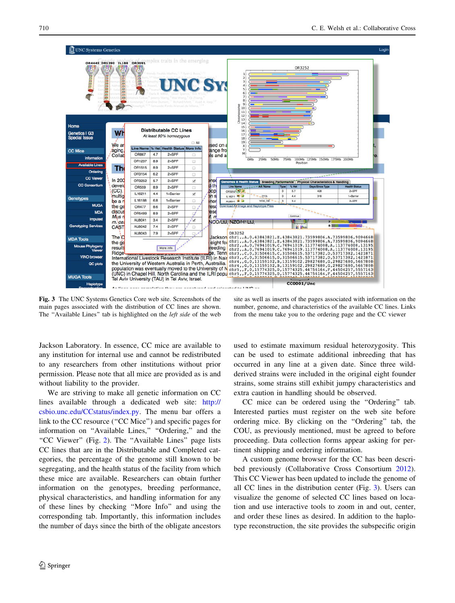<span id="page-4-0"></span>

Fig. 3 The UNC Systems Genetics Core web site. Screenshots of the main pages associated with the distribution of CC lines are shown. The "Available Lines" tab is highlighted on the *left side* of the web

site as well as inserts of the pages associated with information on the number, genome, and characteristics of the available CC lines. Links from the menu take you to the ordering page and the CC viewer

Jackson Laboratory. In essence, CC mice are available to any institution for internal use and cannot be redistributed to any researchers from other institutions without prior permission. Please note that all mice are provided as is and without liability to the provider.

We are striving to make all genetic information on CC lines available through a dedicated web site: [http://](http://csbio.unc.edu/CCstatus/index.py) [csbio.unc.edu/CCstatus/index.py](http://csbio.unc.edu/CCstatus/index.py). The menu bar offers a link to the CC resource (''CC Mice'') and specific pages for information on "Available Lines," "Ordering," and the "CC Viewer" (Fig. [2](#page-3-0)). The "Available Lines" page lists CC lines that are in the Distributable and Completed categories, the percentage of the genome still known to be segregating, and the health status of the facility from which these mice are available. Researchers can obtain further information on the genotypes, breeding performance, physical characteristics, and handling information for any of these lines by checking ''More Info'' and using the corresponding tab. Importantly, this information includes the number of days since the birth of the obligate ancestors used to estimate maximum residual heterozygosity. This can be used to estimate additional inbreeding that has occurred in any line at a given date. Since three wildderived strains were included in the original eight founder strains, some strains still exhibit jumpy characteristics and extra caution in handling should be observed.

CC mice can be ordered using the ''Ordering'' tab. Interested parties must register on the web site before ordering mice. By clicking on the ''Ordering'' tab, the COU, as previously mentioned, must be agreed to before proceeding. Data collection forms appear asking for pertinent shipping and ordering information.

A custom genome browser for the CC has been described previously (Collaborative Cross Consortium [2012](#page-6-0)). This CC Viewer has been updated to include the genome of all CC lines in the distribution center (Fig. 3). Users can visualize the genome of selected CC lines based on location and use interactive tools to zoom in and out, center, and order these lines as desired. In addition to the haplotype reconstruction, the site provides the subspecific origin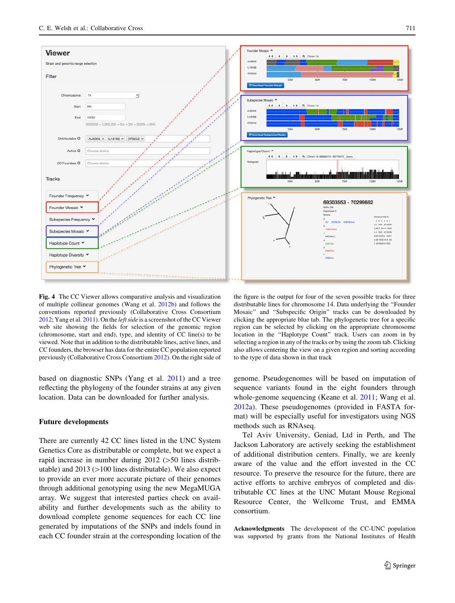<span id="page-5-0"></span>

Fig. 4 The CC Viewer allows comparative analysis and visualization of multiple collinear genomes (Wang et al. [2012b](#page-6-0)) and follows the conventions reported previously (Collaborative Cross Consortium [2012;](#page-6-0) Yang et al. [2011](#page-6-0)). On the left side is a screenshot of the CC Viewer web site showing the fields for selection of the genomic region (chromosome, start and end), type, and identity of CC line(s) to be viewed. Note that in addition to the distributable lines, active lines, and CC founders, the browser has data for the entire CC population reported previously (Collaborative Cross Consortium [2012\)](#page-6-0). On the right side of

based on diagnostic SNPs (Yang et al. [2011\)](#page-6-0) and a tree reflecting the phylogeny of the founder strains at any given location. Data can be downloaded for further analysis.

#### Future developments

There are currently 42 CC lines listed in the UNC System Genetics Core as distributable or complete, but we expect a rapid increase in number during  $2012$  ( $>50$  lines distributable) and  $2013$  ( $>100$  lines distributable). We also expect to provide an ever more accurate picture of their genomes through additional genotyping using the new MegaMUGA array. We suggest that interested parties check on availability and further developments such as the ability to download complete genome sequences for each CC line generated by imputations of the SNPs and indels found in each CC founder strain at the corresponding location of the

the figure is the output for four of the seven possible tracks for three distributable lines for chromosome 14. Data underlying the ''Founder Mosaic'' and ''Subspecific Origin'' tracks can be downloaded by clicking the appropriate blue tab. The phylogenetic tree for a specific region can be selected by clicking on the appropriate chromosome location in the ''Haplotype Count'' track. Users can zoom in by selecting a region in any of the tracks or by using the zoom tab. Clicking also allows centering the view on a given region and sorting according to the type of data shown in that track

genome. Pseudogenomes will be based on imputation of sequence variants found in the eight founders through whole-genome sequencing (Keane et al. [2011;](#page-6-0) Wang et al. [2012a\)](#page-6-0). These pseudogenomes (provided in FASTA format) will be especially useful for investigators using NGS methods such as RNAseq.

Tel Aviv University, Geniad, Ltd in Perth, and The Jackson Laboratory are actively seeking the establishment of additional distribution centers. Finally, we are keenly aware of the value and the effort invested in the CC resource. To preserve the resource for the future, there are active efforts to archive embryos of completed and distributable CC lines at the UNC Mutant Mouse Regional Resource Center, the Wellcome Trust, and EMMA consortium.

Acknowledgments The development of the CC-UNC population was supported by grants from the National Institutes of Health